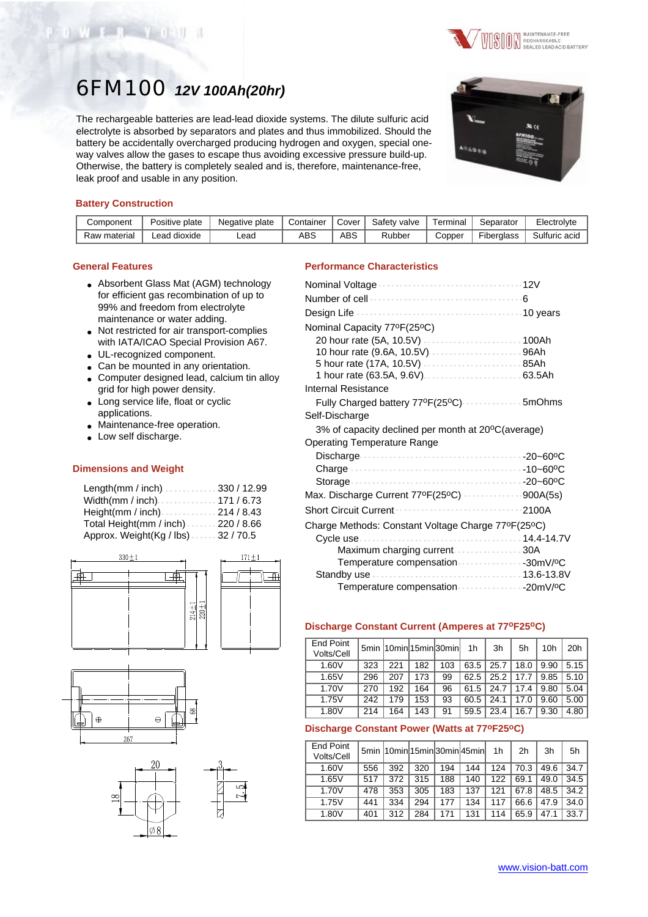

# 6FM100 *12V 100Ah(20hr)*

The rechargeable batteries are lead-lead dioxide systems. The dilute sulfuric acid electrolyte is absorbed by separators and plates and thus immobilized. Should the battery be accidentally overcharged producing hydrogen and oxygen, special oneway valves allow the gases to escape thus avoiding excessive pressure build-up. Otherwise, the battery is completely sealed and is, therefore, maintenance-free, leak proof and usable in any position.



# **Battery Construction**

OWER YOU

| Component    | Positive plate | Negative plate | Container | Cover | Safety valve | Terminal | Separator         | Electrolyte   |
|--------------|----------------|----------------|-----------|-------|--------------|----------|-------------------|---------------|
| Raw material | ead dioxide.   | _ead           | ABS       | ABS   | Rubber       | Copper   | <b>Fiberalass</b> | Sulfuric acid |

### **General Features**

- Absorbent Glass Mat (AGM) technology for efficient gas recombination of up to 99% and freedom from electrolyte maintenance or water adding.
- Not restricted for air transport-complies with IATA/ICAO Special Provision A67.
- UL-recognized component.
- Can be mounted in any orientation.
- Computer designed lead, calcium tin alloy grid for high power density.
- Long service life, float or cyclic applications.
- Maintenance-free operation.
- Low self discharge.

#### **Dimensions and Weight**

| Length(mm / inch)330 / 12.99                                     |  |
|------------------------------------------------------------------|--|
| Width(mm / inch) $\ldots \ldots \ldots \ldots \ldots$ 171 / 6.73 |  |
| Height(mm / inch) $\ldots$ 214 / 8.43                            |  |
| Total Height(mm / inch) 220 / 8.66                               |  |
| Approx. Weight(Kg / lbs)32 / 70.5                                |  |





# **Performance Characteristics**

| Fully Charged battery 77ºF(25ºC)  5mOhms           |
|----------------------------------------------------|
|                                                    |
| 3% of capacity declined per month at 20°C(average) |
|                                                    |
|                                                    |
|                                                    |
|                                                    |
| Max. Discharge Current 77ºF(25°C) 900A(5s)         |
| 2100A                                              |
| Charge Methods: Constant Voltage Charge 77ºF(25ºC) |
|                                                    |
| Maximum charging current 30A                       |
| Temperature compensation 30mV/ºC                   |
|                                                    |
|                                                    |
|                                                    |

## **Discharge Constant Current (Amperes at 77oF25oC)**

| <b>End Point</b><br>Volts/Cell |     |     |     | 5min 10min 15min 30min | 1h   | 3h   | 5h   | 10h  | 20h  |
|--------------------------------|-----|-----|-----|------------------------|------|------|------|------|------|
| 1.60V                          | 323 | 221 | 182 | 103                    | 63.5 | 25.7 | 18.0 | 9.90 | 5.15 |
| 1.65V                          | 296 | 207 | 173 | 99                     | 62.5 | 25.2 | 17.7 | 9.85 | 5.10 |
| 1.70V                          | 270 | 192 | 164 | 96                     | 61.5 | 24.7 | 17.4 | 9.80 | 5.04 |
| 1.75V                          | 242 | 179 | 153 | 93                     | 60.5 | 24.1 | 17.0 | 9.60 | 5.00 |
| 1.80V                          | 214 | 164 | 143 | 91                     | 59.5 | 23.4 | 16.7 | 9.30 | 4.80 |

# **Discharge Constant Power (Watts at 77oF25oC)**

| End Point<br>Volts/Cell |     |     |     |     | 5min 10min 15min 30min 45min | 1 <sub>h</sub> | 2 <sub>h</sub> | 3h   | 5h   |
|-------------------------|-----|-----|-----|-----|------------------------------|----------------|----------------|------|------|
| 1.60V                   | 556 | 392 | 320 | 194 | 144                          | 124            | 70.3           | 49.6 | 34.7 |
| 1.65V                   | 517 | 372 | 315 | 188 | 140                          | 122            | 69.1           | 49.0 | 34.5 |
| 1.70V                   | 478 | 353 | 305 | 183 | 137                          | 121            | 67.8           | 48.5 | 34.2 |
| 1.75V                   | 441 | 334 | 294 | 177 | 134                          | 117            | 66.6           | 47.9 | 34.0 |
| 1.80V                   | 401 | 312 | 284 | 171 | 131                          | 114            | 65.9           | 47.1 | 33.7 |